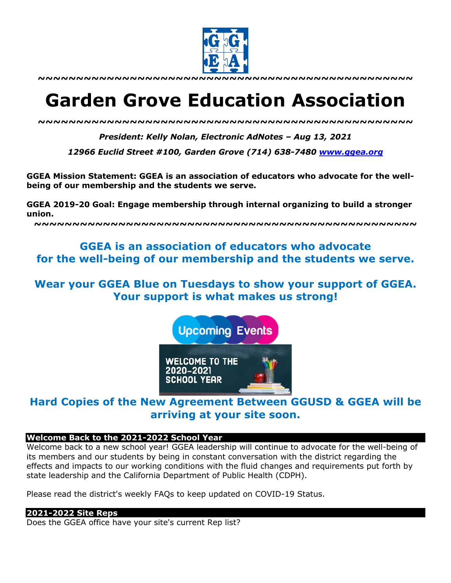

# **Garden Grove Education Association**

*~~~~~~~~~~~~~~~~~~~~~~~~~~~~~~~~~~~~~~~~~~~~~~~~~*

*President: Kelly Nolan, Electronic AdNotes – Aug 13, 2021*

*12966 Euclid Street #100, Garden Grove (714) 638-7480 www.ggea.org*

**GGEA Mission Statement: GGEA is an association of educators who advocate for the wellbeing of our membership and the students we serve.** 

**GGEA 2019-20 Goal: Engage membership through internal organizing to build a stronger union.**

**~~~~~~~~~~~~~~~~~~~~~~~~~~~~~~~~~~~~~~~~~~~~~~~~~~**

# **GGEA is an association of educators who advocate for the well-being of our membership and the students we serve.**

# **Wear your GGEA Blue on Tuesdays to show your support of GGEA. Your support is what makes us strong!**

**Upcoming Events WELCOME TO THE** 2020-2021 **SCHOOL YEAR** 

# **Hard Copies of the New Agreement Between GGUSD & GGEA will be arriving at your site soon.**

# **Welcome Back to the 2021-2022 School Year**

Welcome back to a new school year! GGEA leadership will continue to advocate for the well-being of its members and our students by being in constant conversation with the district regarding the effects and impacts to our working conditions with the fluid changes and requirements put forth by state leadership and the California Department of Public Health (CDPH).

Please read the district's weekly FAQs to keep updated on COVID-19 Status.

# **2021-2022 Site Reps**

Does the GGEA office have your site's current Rep list?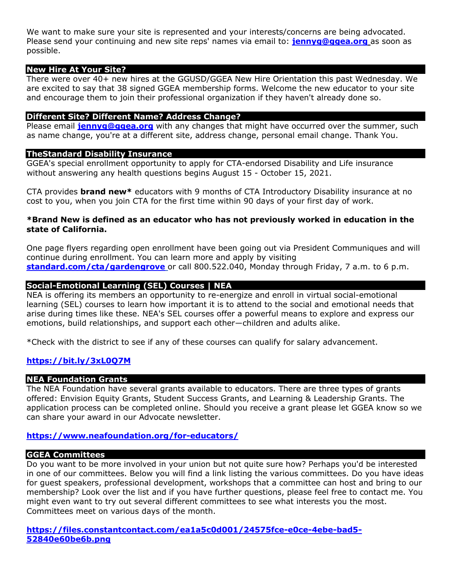We want to make sure your site is represented and your interests/concerns are being advocated. Please send your continuing and new site reps' names via email to: **jennyg@ggea.org** as soon as possible.

#### **New Hire At Your Site?**

There were over 40+ new hires at the GGUSD/GGEA New Hire Orientation this past Wednesday. We are excited to say that 38 signed GGEA membership forms. Welcome the new educator to your site and encourage them to join their professional organization if they haven't already done so.

#### **Different Site? Different Name? Address Change?**

Please email **jennyg@ggea.org** with any changes that might have occurred over the summer, such as name change, you're at a different site, address change, personal email change. Thank You.

#### **TheStandard Disability Insurance**

GGEA's special enrollment opportunity to apply for CTA-endorsed Disability and Life insurance without answering any health questions begins August 15 - October 15, 2021.

CTA provides **brand new\*** educators with 9 months of CTA Introductory Disability insurance at no cost to you, when you join CTA for the first time within 90 days of your first day of work.

#### **\*Brand New is defined as an educator who has not previously worked in education in the state of California.**

One page flyers regarding open enrollment have been going out via President Communiques and will continue during enrollment. You can learn more and apply by visiting **standard.com/cta/gardengrove** or call 800.522.040, Monday through Friday, 7 a.m. to 6 p.m.

# **Social-Emotional Learning (SEL) Courses | NEA**

NEA is offering its members an opportunity to re-energize and enroll in virtual social-emotional learning (SEL) courses to learn how important it is to attend to the social and emotional needs that arise during times like these. NEA's SEL courses offer a powerful means to explore and express our emotions, build relationships, and support each other―children and adults alike.

\*Check with the district to see if any of these courses can qualify for salary advancement.

# **https://bit.ly/3xL0Q7M**

#### **NEA Foundation Grants**

The NEA Foundation have several grants available to educators. There are three types of grants offered: Envision Equity Grants, Student Success Grants, and Learning & Leadership Grants. The application process can be completed online. Should you receive a grant please let GGEA know so we can share your award in our Advocate newsletter.

# **https://www.neafoundation.org/for-educators/**

#### **GGEA Committees**

Do you want to be more involved in your union but not quite sure how? Perhaps you'd be interested in one of our committees. Below you will find a link listing the various committees. Do you have ideas for guest speakers, professional development, workshops that a committee can host and bring to our membership? Look over the list and if you have further questions, please feel free to contact me. You might even want to try out several different committees to see what interests you the most. Committees meet on various days of the month.

**https://files.constantcontact.com/ea1a5c0d001/24575fce-e0ce-4ebe-bad5- 52840e60be6b.png**